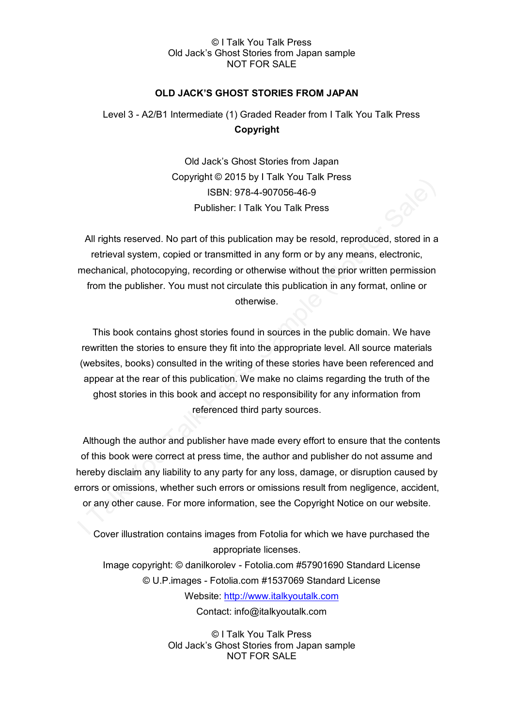## © I Talk You Talk Press Old Jack's Ghost Stories from Japan sample NOT FOR SALE

# **OLD JACK'S GHOST STORIES FROM JAPAN**

# Level 3 - A2/B1 Intermediate (1) Graded Reader from I Talk You Talk Press **Copyright**

Old Jack's Ghost Stories from Japan Copyright © 2015 by I Talk You Talk Press ISBN: 978-4-907056-46-9 Publisher: I Talk You Talk Press

All rights reserved. No part of this publication may be resold, reproduced, stored in a retrieval system, copied or transmitted in any form or by any means, electronic, mechanical, photocopying, recording or otherwise without the prior written permission from the publisher. You must not circulate this publication in any format, online or otherwise.

This book contains ghost stories found in sources in the public domain. We have rewritten the stories to ensure they fit into the appropriate level. All source materials (websites, books) consulted in the writing of these stories have been referenced and appear at the rear of this publication. We make no claims regarding the truth of the ghost stories in this book and accept no responsibility for any information from referenced third party sources.

Although the author and publisher have made every effort to ensure that the contents of this book were correct at press time, the author and publisher do not assume and hereby disclaim any liability to any party for any loss, damage, or disruption caused by errors or omissions, whether such errors or omissions result from negligence, accident, or any other cause. For more information, see the Copyright Notice on our website.

Cover illustration contains images from Fotolia for which we have purchased the appropriate licenses. Image copyright: © danilkorolev - Fotolia.com #57901690 Standard License © U.P.images - Fotolia.com #1537069 Standard License Website: [http://www.italkyoutalk.com](http://www.italkyoutalk.com/) Contact: info@italkyoutalk.com

> © I Talk You Talk Press Old Jack's Ghost Stories from Japan sample NOT FOR SALE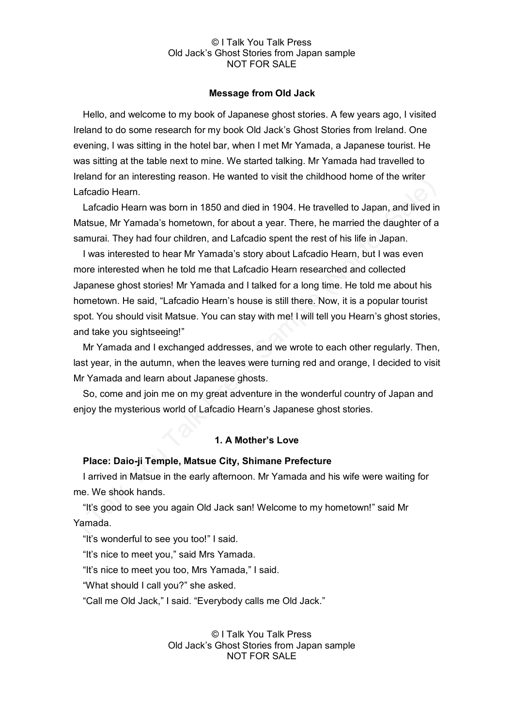#### © I Talk You Talk Press Old Jack's Ghost Stories from Japan sample NOT FOR SALE

#### **Message from Old Jack**

Hello, and welcome to my book of Japanese ghost stories. A few years ago, I visited Ireland to do some research for my book Old Jack's Ghost Stories from Ireland. One evening, I was sitting in the hotel bar, when I met Mr Yamada, a Japanese tourist. He was sitting at the table next to mine. We started talking. Mr Yamada had travelled to Ireland for an interesting reason. He wanted to visit the childhood home of the writer Lafcadio Hearn.

Lafcadio Hearn was born in 1850 and died in 1904. He travelled to Japan, and lived in Matsue, Mr Yamada's hometown, for about a year. There, he married the daughter of a samurai. They had four children, and Lafcadio spent the rest of his life in Japan.

I was interested to hear Mr Yamada's story about Lafcadio Hearn, but I was even more interested when he told me that Lafcadio Hearn researched and collected Japanese ghost stories! Mr Yamada and I talked for a long time. He told me about his hometown. He said, "Lafcadio Hearn's house is still there. Now, it is a popular tourist spot. You should visit Matsue. You can stay with me! I will tell you Hearn's ghost stories, and take you sightseeing!"

Mr Yamada and I exchanged addresses, and we wrote to each other regularly. Then, last year, in the autumn, when the leaves were turning red and orange, I decided to visit Mr Yamada and learn about Japanese ghosts.

So, come and join me on my great adventure in the wonderful country of Japan and enjoy the mysterious world of Lafcadio Hearn's Japanese ghost stories.

## **1. A Mother's Love**

## **Place: Daio-ji Temple, Matsue City, Shimane Prefecture**

I arrived in Matsue in the early afternoon. Mr Yamada and his wife were waiting for me. We shook hands.

"It's good to see you again Old Jack san! Welcome to my hometown!" said Mr Yamada.

"It's wonderful to see you too!" I said.

"It's nice to meet you," said Mrs Yamada.

"It's nice to meet you too, Mrs Yamada," I said.

"What should I call you?" she asked.

"Call me Old Jack," I said. "Everybody calls me Old Jack."

© I Talk You Talk Press Old Jack's Ghost Stories from Japan sample NOT FOR SALE